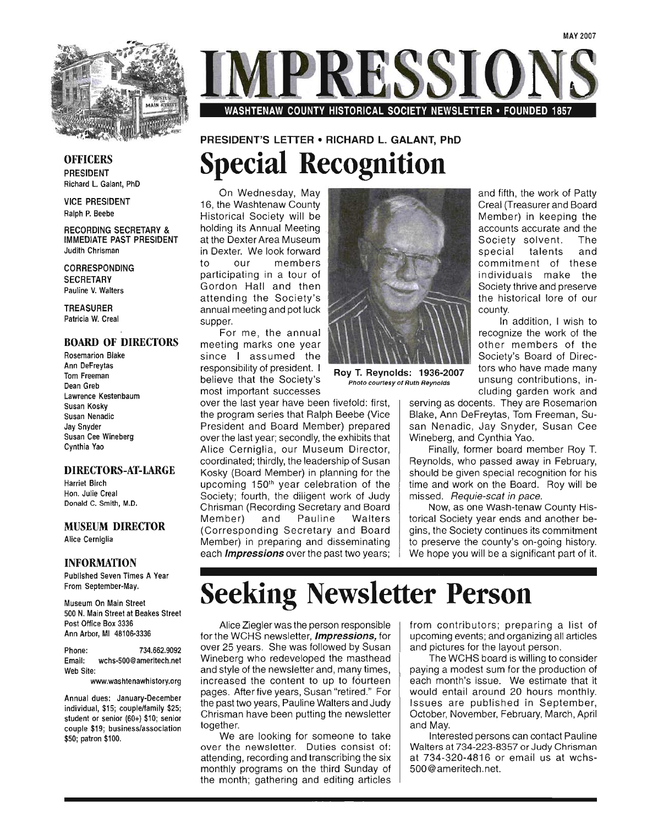

WASHTENAW COUNTY HISTORICAL SOCIETY NEWSLETTER • FOUNDED 1857

#### **OFFICERS** PRESIDENT Richard L. Galant, PhD

VICE PRESIDENT Ralph P. Beebe

RECORDING SECRETARY & IMMEDIATE PAST PRESIDENT Judith Chrisman

CORRESPONDING **SECRETARY** Pauline V. Walters

TREASURER Patricia W. Creal

#### BOARD OF DIRECTORS

Rosemarion Blake Ann DeFreytas Tom Freeman Dean Greb Lawrence Kestenbaum Susan Kosky Susan Nenadic Jay Snyder Susan Cee Wineberg Cynthia Yao

#### DIRECTORS-AT-LARGE

Harriet Birch Hon. Julie Creal Donald C. Smith, M.D.

#### MUSEUM DIRECTOR

Alice Cerniglia

#### INFORMATION

Published Seven Times A Year From September-May.

Museum On Main Street 500 N. Main Street at Beakes Street Post Office Box 3336 Ann Arbor, MI 48106-3336

Phone: 734.662.9092 Email: wchs-500@ameritech.net Web Site:

www.washtenawhistory.org

Annual dues: January-December individual, \$15; couple/family \$25; student or senior (60+) \$10; senior couple \$19; business/association \$50; patron \$100.

# PRESIDENT'S LETTER • RICHARD L. GALANT, PhD **Special Recognition**

On Wednesday, May 16, the Washtenaw County Historical Society will be holding its Annual Meeting at the Dexter Area Museum in Dexter. We look forward to our members participating in a tour of Gordon Hall and then attending the Society's annual meeting and pot luck supper.

For me, the annual meeting marks one year since I assumed the responsibility of president. I believe that the Society's most important successes

over the last year have been fivefold: first, the program series that Ralph Beebe (Vice President and Board Member) prepared over the last year; secondly, the exhibits that Alice Cerniglia, our Museum Director, coordinated; thirdly, the leadership of Susan Kosky (Board Member) in planning for the upcoming 150<sup>th</sup> year celebration of the Society; fourth, the diligent work of Judy Chrisman (Recording Secretary and Board Member) and Pauline Walters (Corresponding Secretary and Board Member) in preparing and disseminating each *Impressions* over the past two years;



and fifth, the work of Patty Creal (Treasurer and Board Member) in keeping the accounts accurate and the Society solvent. The special talents and commitment of these individuals make the Society thrive and preserve the historical lore of our county.

In addition, I wish to recognize the work of the other members of the Society's Board of Direc-Roy T. Reynolds: 1936-2007 tors who have made many Photo courtesy of Ruth Reynolds Unsung contributions, including garden work and

serving as docents. They are Rosemarion Blake, Ann DeFreytas, Tom Freeman, Susan Nenadic, Jay Snyder, Susan Cee Wineberg, and Cynthia Yao.

Finally, former board member Roy T. Reynolds, who passed away in February, should be given special recognition for his time and work on the Board. Roy will be missed. Requie-scat in pace.

Now, as one Wash-tenaw County Historical Society year ends and another begins, the Society continues its commitment to preserve the county's on-going history. We hope you will be a significant part of it.

# **Seeking Newsletter Person**

Alice Ziegler was the person responsible for the WCHS newsletter, *Impressions*, for over 25 years. She was followed by Susan Wineberg who redeveloped the masthead and style of the newsletter and, many times, increased the content to up to fourteen pages. After five years, Susan "retired." For the past two years, Pauline Walters and Judy Chrisman have been putting the newsletter together.

We are looking for someone to take over the newsletter. Duties consist of: attending, recording and transcribing the six monthly programs on the third Sunday of the month; gathering and editing articles from contributors; preparing a list of upcoming events; and organizing all articles and pictures for the layout person.

The WCHS board is willing to consider paying a modest sum for the production of each month's issue. We estimate that it would entail around 20 hours monthly. Issues are published in September, October, November, February, March, April and May.

Interested persons can contact Pauline Walters at 734-223-8357 or Judy Chrisman at 734-320-4816 or email us at wchs-500@ameritech.net.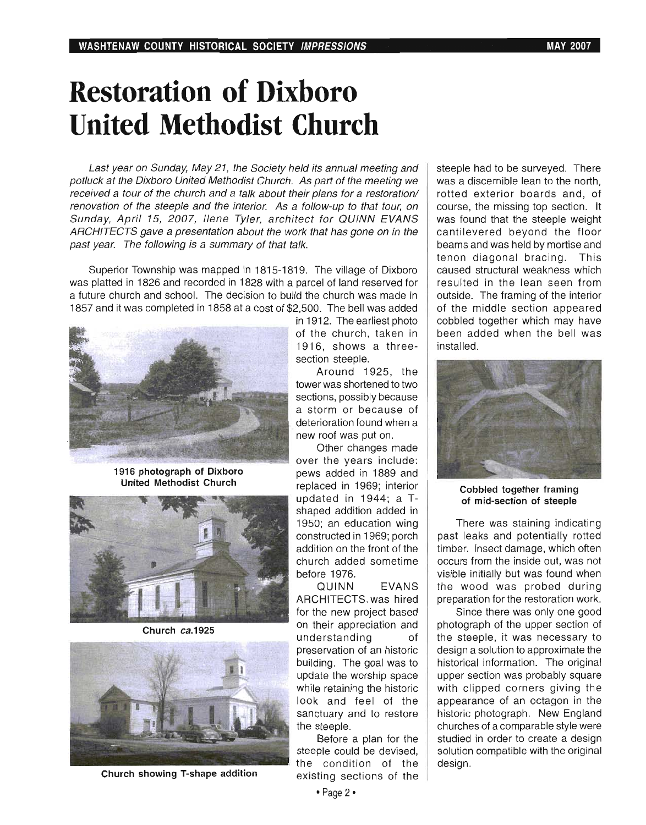# **Restoration of Dixboro United Methodist Church**

Last year on Sunday, May 21, the Society held its annual meeting and potluck at the Oixboro United Methodist Church. As part of the meeting we received a tour of the church and a talk about their plans for a restoration/ renovation of the steeple and the interior. As a follow-up to that tour, on Sunday, April 15, 2007, Ilene Tyler, architect for QUINN EVANS ARCHITECTS gave a presentation about the work that has gone on in the past year. The following is a summary of that talk.

Superior Township was mapped in 1815-1819. The village of Dixboro was platted in 1826 and recorded in 1828 with a parcel of land reserved for a future church and school. The decision to build the church was made in 1857 and it was completed in 1858 at a cost of \$2,500. The bell was added



**1916 photograph of Dixboro United Methodist Church** 



**Church ca.1925** 



**Church showing T-shape addition** 

in 1912. The earliest photo of the church, taken in 1916, shows a threesection steeple.

Around 1925, the tower was shortened to two sections, possibly because a storm or because of deterioration found when a new roof was put on.

Other changes made over the years include: pews added in 1889 and replaced in 1969; interior updated in 1944: a Tshaped addition added in 1950; an education wing constructed in 1969; porch addition on the front of the church added sometime before 1976.

QUINN EVANS ARCHITECTS. was hired for the new project based on their appreciation and understanding of preservation of an historic building. The goal was to update the worship space while retaining the historic look and feel of the sanctuary and to restore the steeple.

Before a plan for the steeple could be devised, the condition of the existing sections of the

• Page 2·

steeple had to be surveyed. There was a discernible lean to the north. rotted exterior boards and, of course, the missing top section. It was found that the steeple weight cantilevered beyond the floor beams and was held by mortise and tenon diagonal bracing. This caused structural weakness which resulted in the lean seen from outside. The framing of the interior of the middle section appeared cobbled together which may have been added when the bell was installed.



**Cobbled together framing of mid-section of steeple** 

There was staining indicating past leaks and potentially rotted timber. Insect damage, which often occurs from the inside out, was not visible initially but was found when the wood was probed during preparation for the restoration work.

Since there was only one good photograph of the upper section of the steeple, it was necessary to design a solution to approximate the historical information. The original upper section was probably square with clipped corners giving the appearance of an octagon in the historic photograph. New England churches of a comparable style were studied in order to create a design solution compatible with the original design.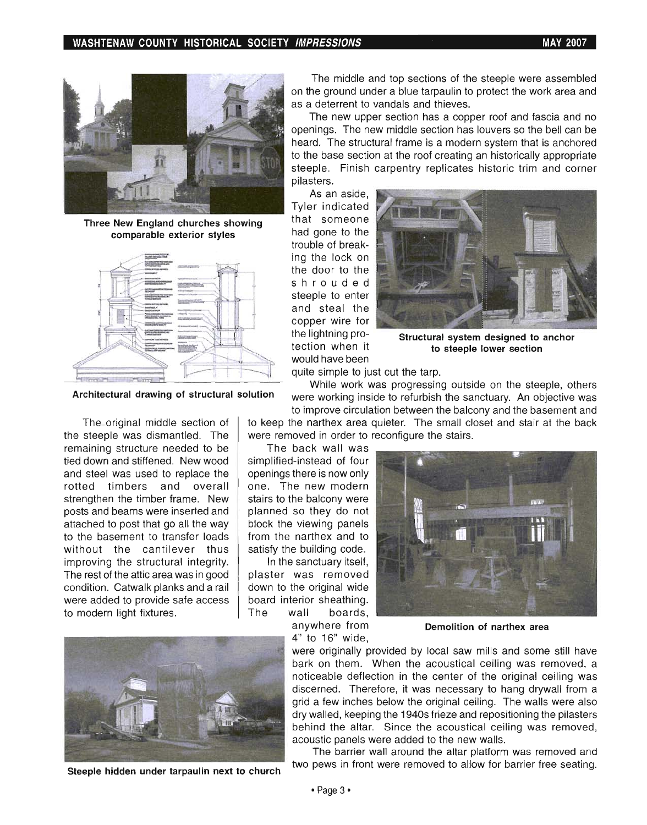**WASHTENAW COUNTY HISTORICAL SOCIETY IMPRESSIONS MAY 2007** 



**Three New England churches showing comparable exterior styles** 



The original middle section of the steeple was dismantled. The remaining structure needed to be tied down and stiffened. New wood and steel was used to replace the rotted timbers and overall strengthen the timber frame. New posts and beams were inserted and attached to post that go all the way to the basement to transfer loads without the cantilever thus improving the structural integrity. The rest of the attic area was in good condition. Catwalk planks and a rail were added to provide safe access to modern light fixtures.



**Steeple hidden under tarpaulin next to church** 

The middle and top sections of the steeple were assembled on the ground under a blue tarpaulin to protect the work area and as a deterrent to vandals and thieves.

The new upper section has a copper roof and fascia and no openings. The new middle section has louvers so the bell can be heard. The structural frame is a modern system that is anchored to the base section at the roof creating an historically appropriate steeple. Finish carpentry replicates historic trim and corner pilasters.

As an aside, Tyler indicated that someone had gone to the trouble of breaking the lock on the door to the shrouded steeple to enter and steal the copper wire for the lightning protection when it would have been



**Structural system designed to anchor to steeple lower section** 

quite simple to just cut the tarp.

While work was progressing outside on the steeple, others **Architectural drawing of structural solution** were working inside to refurbish the sanctuary. An objective was to improve circulation between the balcony and the basement and

to keep the narthex area quieter. The small closet and stair at the back were removed in order to reconfigure the stairs.

The back wall was simplified-instead of four openings there is now only one. The new modern stairs to the balcony were planned so they do not block the viewing panels from the narthex and to satisfy the building code.

In the sanctuary itself, plaster was removed down to the original wide board interior sheathing. The wall boards,

> anywhere from 4" to 16" wide,



**Demolition of narthex area** 

were originally provided by local saw mills and some still have bark on them. When the acoustical ceiling was removed, a noticeable deflection in the center of the original ceiling was discerned. Therefore, it was necessary to hang drywall from a grid a few inches below the original ceiling. The walls were also dry walled, keeping the 1940s frieze and repositioning the pilasters behind the altar. Since the acoustical ceiling was removed, acoustic panels were added to the new walls.

The barrier wall around the altar platform was removed and two pews in front were removed to allow for barrier free seating.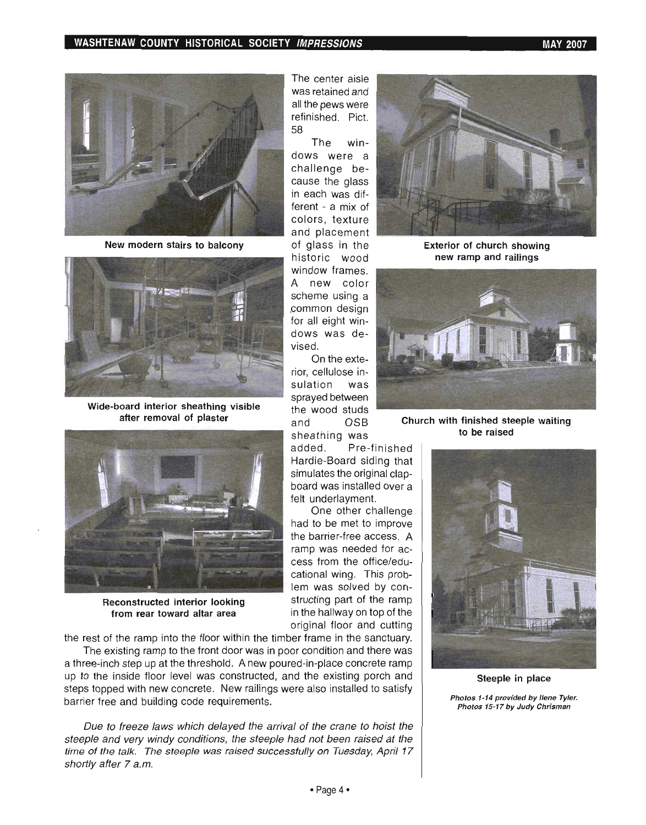

**New modern stairs to balcony** 



**Wide-board interior sheathing visible after removal of plaster** 



**Reconstructed interior looking from rear toward altar area** 

the rest of the ramp into the floor within the timber frame in the sanctuary.

The existing ramp to the front door was in poor condition and there was a three-inch step up at the threshold. A new poured-in-place concrete ramp up to the inside floor level was constructed, and the existing porch and steps topped with new concrete. New railings were also installed to satisfy barrier free and building code requirements.

Due to freeze laws which delayed the arrival of the crane to hoist the steeple and very windy conditions, the steeple had not been raised at the time of the talk. The steeple was raised successfully on Tuesday, April 17 shortly after 7 a.m.



**Exterior of church showing new ramp and railings** 



**Church with finished steeple waiting to be raised** 



**Steeple in place** 

Photos 1-14 provided by Ilene Tyler. tos 1-14 provided by Ilene Tyler.<br>.

The win-

historic wood

One other challenge

in the hallway on top of the original floor and cutting

vised.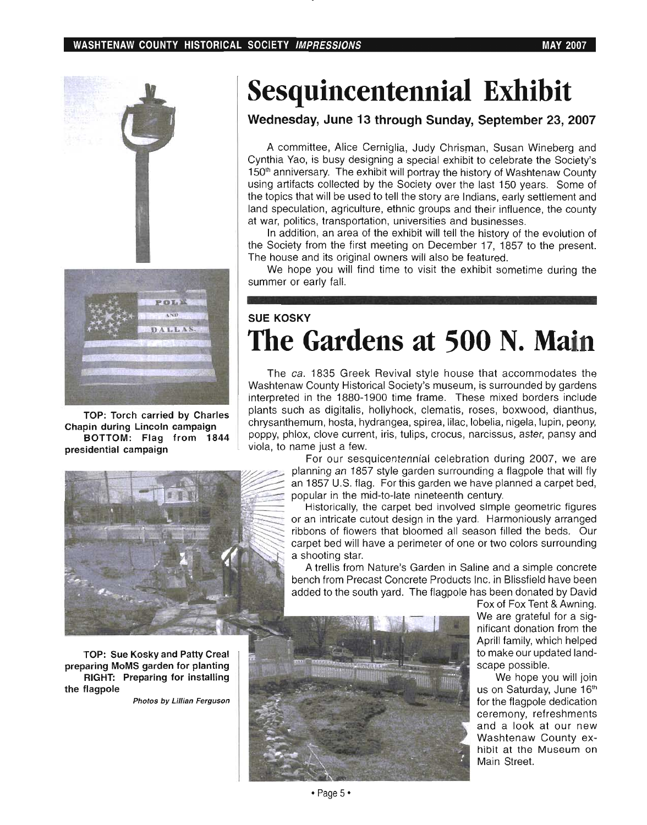#### **WASHTENAW COUNTY HISTORICAL SOCIETY IMPRESSIONS MAY 2007**





**TOP: Torch carried by Charles Chapin during Lincoln campaign BOTTOM: Flag from 1844 presidential campaign** 



**TOP: Sue Kosky and Patty Creal preparing MoMS garden for planting RIGHT: Preparing for installing the flagpole** 

Photos *by* Lillian Ferguson

# **Sesquincentennial Exhibit**

### **Wednesday, June 13 through Sunday, September 23, 2007**

A committee, Alice Cerniglia, Judy Chrisman, Susan Wineberg and Cynthia Yao, is busy designing a special exhibit to celebrate the Society's 150<sup>th</sup> anniversary. The exhibit will portray the history of Washtenaw County using artifacts collected by the Society over the last 150 years. Some of the topics that will be used to tell the story are Indians, early settlement and land speculation, agriculture, ethnic groups and their influence, the county at war, politics, transportation, universities and businesses.

In addition, an area of the exhibit will tell the history of the evolution of the Society from the first meeting on December 17, 1857 to the present. The house and its original owners will also be featured.

We hope you will find time to visit the exhibit sometime during the summer or early fall.

# **SUE KOSKY The Gardens at 500 N. Main**

The ca. 1835 Greek Revival style house that accommodates the Washtenaw County Historical Society's museum, is surrounded by gardens interpreted in the 1880-1900 time frame. These mixed borders include plants such as digitalis, hollyhock, clematis, roses, boxwood, dianthus, chrysanthemum, hosta, hydrangea, spirea, lilac, lobelia, nigela, lupin, peony, poppy, phlox, clove current, iris, tulips, crocus, narcissus, aster, pansy and viola, to name just a few.

> For our sesquicentennial celebration during 2007, we are planning an 1857 style garden surrounding a flagpole that will fly an 1857 U.S. flag. For this garden we have planned a carpet bed, popular in the mid-to-Iate nineteenth century.

> Historically, the carpet bed involved simple geometric figures or an intricate cutout design in the yard. Harmoniously arranged ribbons of flowers that bloomed all season filled the beds. Our carpet bed will have a perimeter of one or two colors surrounding a shooting star.

> A trellis from Nature's Garden in Saline and a simple concrete bench from Precast Concrete Products Inc. in Blissfield have been added to the south yard. The flagpole has been donated by David



Fox of Fox Tent & Awning. We are grateful for a sig- . nificant donation from the Aprill family, which helped to make our updated landscape possible.

We hope you will join us on Saturday, June 16th for the flagpole dedication ceremony, refreshments and a look at our new Washtenaw County exhibit at the Museum on Main Street.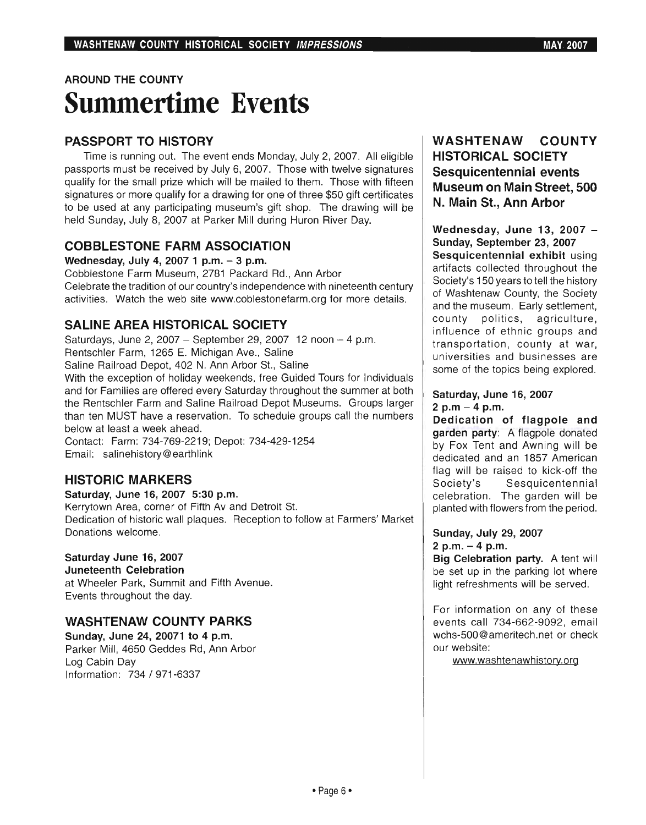# AROUND THE COUNTY **Summertime Events**

## PASSPORT TO HISTORY

Time is running out. The event ends Monday, July 2, 2007. All eligible passports must be received by July 6,2007. Those with twelve signatures qualify for the small prize which will be mailed to them. Those with fifteen signatures or more qualify for a drawing for one of three \$50 gift certificates to be used at any participating museum's gift shop. The drawing will be held Sunday, July 8, 2007 at Parker Mill during Huron River Day.

## COBBLESTONE FARM ASSOCIATION

Wednesday, July 4, 2007 1 p.m. - 3 p.m.

Cobblestone Farm Museum, 2781 Packard Rd., Ann Arbor Celebrate the tradition of our country's independence with nineteenth century activities. Watch the web site www.coblestonefarm.org for more details.

## SALINE AREA HISTORICAL SOCIETY

Saturdays, June 2, 2007 - September 29, 2007 12 noon  $-4$  p.m. Rentschler Farm, 1265 E. Michigan Ave., Saline Saline Railroad Depot, 402 N. Ann Arbor St., Saline With the exception of holiday weekends, free Guided Tours for Individuals and for Families are offered every Saturday throughout the summer at both the Rentschler Farm and Saline Railroad Depot Museums. Groups larger than ten MUST have a reservation. To schedule groups call the numbers below at least a week ahead.

Contact: Farm: 734-769-2219; Depot: 734-429-1254 Email: salinehistory@ earthlink

## HISTORIC MARKERS

Saturday, June 16, 2007 5:30 p.m. Kerrytown Area, corner of Fifth Av and Detroit St. Dedication of historic wall plaques. Reception to follow at Farmers' Market Donations welcome.

#### Saturday June 16, 2007

Juneteenth Celebration at Wheeler Park, Summit and Fifth Avenue. Events throughout the day.

## WASHTENAW COUNTY PARKS

Sunday, June 24, 20071 to 4 p.m. Parker Mill, 4650 Geddes Rd, Ann Arbor Log Cabin Day Information: 734 / 971-6337

### WASHTENAW COUNTY HISTORICAL SOCIETY Sesquicentennial events Museum on Main Street, 500 N. Main St., Ann Arbor

Wednesday, June 13, 2007 -Sunday, September 23, 2007 Sesquicentennial exhibit using artifacts collected throughout the Society's 150 years to tell the history of Washtenaw County, the Society and the museum. Early settlement, county politics, agriculture, influence of ethnic groups and transportation, county at war, universities and businesses are some of the topics being explored.

#### Saturday, June 16, 2007 2 p.m  $-$  4 p.m.

Dedication of flagpole and garden party: A flagpole donated by Fox Tent and Awning will be dedicated and an 1857 American flag will be raised to kick-off the Society's Sesquicentennial celebration. The garden will be planted with flowers from the period.

#### Sunday, July 29, 2007 2 p.m.  $-4$  p.m.

Big Celebration party. A tent will be set up in the parking lot where light refreshments will be served.

For information on any of these events call 734-662-9092, email wchs-500@ameritech.net or check our website:

www.washtenawhistory.org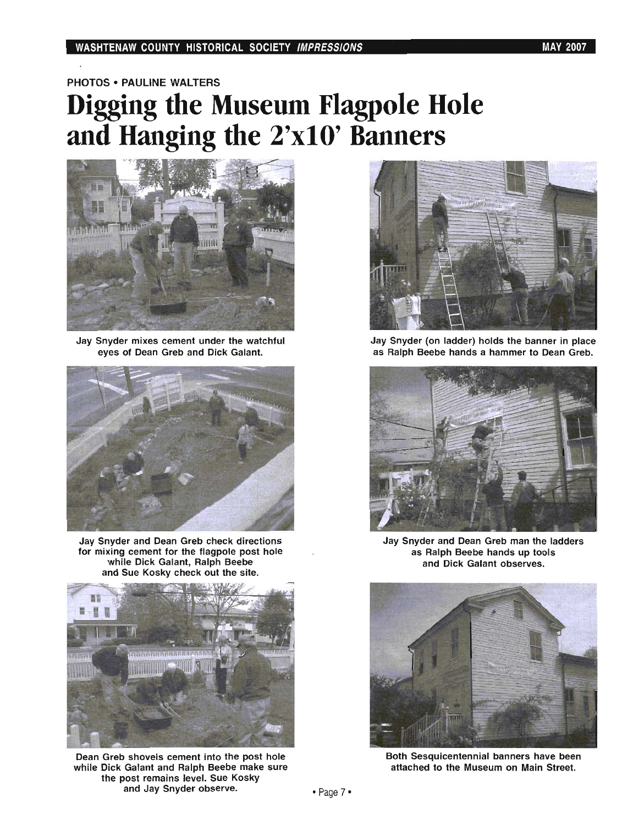PHOTOS· PAULINE WALTERS

# **Digging the Museum Flagpole Hole and Hanging the 2'xlO' Banners**



Jay Snyder mixes cement under the watchful eyes of Dean Greb and Dick Galant.



Jay Snyder and Dean Greb check directions for mixing cement for the flagpole post hole while Dick Galant, Ralph Beebe and Sue Kosky check out the site.



Dean Greb shovels cement into the post hole while Dick Galant and Ralph Beebe make sure the post remains level. Sue Kosky and Jay Snyder observe.



Jay Snyder (on ladder) holds the banner in place as Ralph Beebe hands a hammer to Dean Greb.



Jay Snyder and Dean Greb man the ladders as Ralph Beebe hands up tools and Dick Galant observes.



Both Sesquicentennial banners have been attached to the Museum on Main Street.